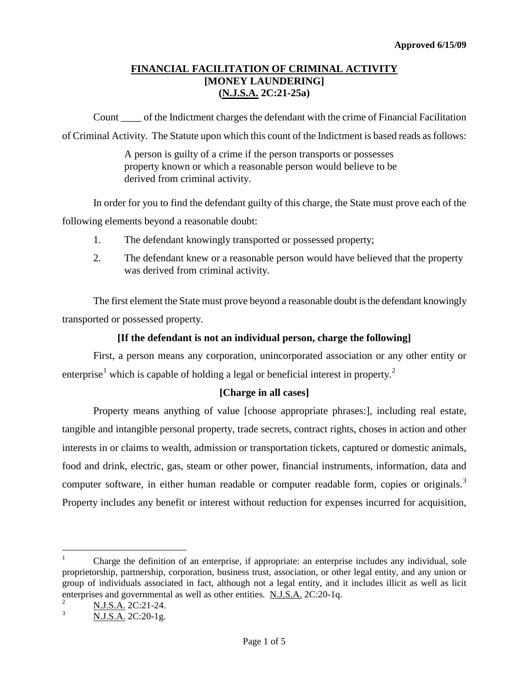## **FINANCIAL FACILITATION OF CRIMINAL ACTIVITY [MONEY LAUNDERING] (N.J.S.A. 2C:21-25a)**

Count \_\_\_\_ of the Indictment charges the defendant with the crime of Financial Facilitation of Criminal Activity. The Statute upon which this count of the Indictment is based reads as follows:

> A person is guilty of a crime if the person transports or possesses property known or which a reasonable person would believe to be derived from criminal activity.

In order for you to find the defendant guilty of this charge, the State must prove each of the following elements beyond a reasonable doubt:

- 1. The defendant knowingly transported or possessed property;
- 2. The defendant knew or a reasonable person would have believed that the property was derived from criminal activity.

The first element the State must prove beyond a reasonable doubt is the defendant knowingly transported or possessed property.

## **[If the defendant is not an individual person, charge the following]**

First, a person means any corporation, unincorporated association or any other entity or enterprise<sup>[1](#page-1-0)</sup> which is capable of holding a legal or beneficial interest in property.<sup>[2](#page-0-0)</sup>

## **[Charge in all cases]**

Property means anything of value [choose appropriate phrases:], including real estate, tangible and intangible personal property, trade secrets, contract rights, choses in action and other interests in or claims to wealth, admission or transportation tickets, captured or domestic animals, food and drink, electric, gas, steam or other power, financial instruments, information, data and computer software, in either human readable or computer readable form, copies or originals.<sup>[3](#page-0-1)</sup> Property includes any benefit or interest without reduction for expenses incurred for acquisition,

 $\overline{a}$ <sup>1</sup> Charge the definition of an enterprise, if appropriate: an enterprise includes any individual, sole proprietorship, partnership, corporation, business trust, association, or other legal entity, and any union or group of individuals associated in fact, although not a legal entity, and it includes illicit as well as licit enterprises and governmental as well as other entities.  $N.J.S.A. 2C:20-1q.$ 

<span id="page-0-2"></span><span id="page-0-0"></span> $\frac{2}{3}$  N.J.S.A. 2C:21-24.

<span id="page-0-1"></span><sup>3</sup> N.J.S.A. 2C:20-1g.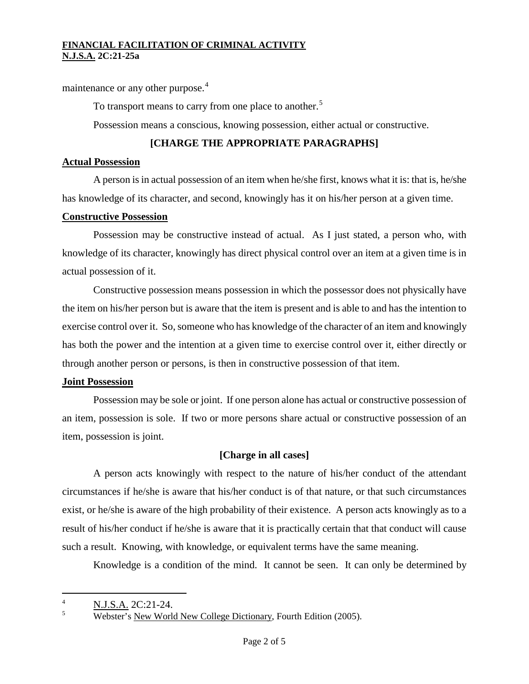maintenance or any other purpose.<sup>[4](#page-0-2)</sup>

To transport means to carry from one place to another.<sup>[5](#page-1-1)</sup>

Possession means a conscious, knowing possession, either actual or constructive.

# **[CHARGE THE APPROPRIATE PARAGRAPHS]**

## **Actual Possession**

A person is in actual possession of an item when he/she first, knows what it is: that is, he/she has knowledge of its character, and second, knowingly has it on his/her person at a given time.

## **Constructive Possession**

Possession may be constructive instead of actual. As I just stated, a person who, with knowledge of its character, knowingly has direct physical control over an item at a given time is in actual possession of it.

Constructive possession means possession in which the possessor does not physically have the item on his/her person but is aware that the item is present and is able to and has the intention to exercise control over it. So, someone who has knowledge of the character of an item and knowingly has both the power and the intention at a given time to exercise control over it, either directly or through another person or persons, is then in constructive possession of that item.

## **Joint Possession**

Possession may be sole or joint. If one person alone has actual or constructive possession of an item, possession is sole. If two or more persons share actual or constructive possession of an item, possession is joint.

## **[Charge in all cases]**

A person acts knowingly with respect to the nature of his/her conduct of the attendant circumstances if he/she is aware that his/her conduct is of that nature, or that such circumstances exist, or he/she is aware of the high probability of their existence. A person acts knowingly as to a result of his/her conduct if he/she is aware that it is practically certain that that conduct will cause such a result. Knowing, with knowledge, or equivalent terms have the same meaning.

Knowledge is a condition of the mind. It cannot be seen. It can only be determined by

<span id="page-1-2"></span><span id="page-1-0"></span> $\overline{A}$  $\frac{4}{5}$  N.J.S.A. 2C:21-24.

<span id="page-1-1"></span><sup>5</sup> Webster's New World New College Dictionary, Fourth Edition (2005).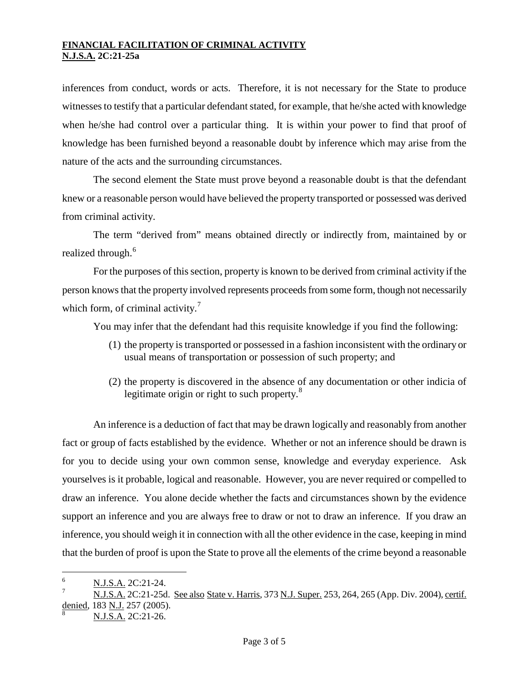inferences from conduct, words or acts. Therefore, it is not necessary for the State to produce witnesses to testify that a particular defendant stated, for example, that he/she acted with knowledge when he/she had control over a particular thing. It is within your power to find that proof of knowledge has been furnished beyond a reasonable doubt by inference which may arise from the nature of the acts and the surrounding circumstances.

The second element the State must prove beyond a reasonable doubt is that the defendant knew or a reasonable person would have believed the property transported or possessed was derived from criminal activity.

The term "derived from" means obtained directly or indirectly from, maintained by or realized through.<sup>[6](#page-1-2)</sup>

For the purposes of this section, property is known to be derived from criminal activity if the person knows that the property involved represents proceeds from some form, though not necessarily which form, of criminal activity.<sup>[7](#page-2-0)</sup>

You may infer that the defendant had this requisite knowledge if you find the following:

- (1) the property is transported or possessed in a fashion inconsistent with the ordinary or usual means of transportation or possession of such property; and
- (2) the property is discovered in the absence of any documentation or other indicia of legitimate origin or right to such property.<sup>[8](#page-2-1)</sup>

An inference is a deduction of fact that may be drawn logically and reasonably from another fact or group of facts established by the evidence. Whether or not an inference should be drawn is for you to decide using your own common sense, knowledge and everyday experience. Ask yourselves is it probable, logical and reasonable. However, you are never required or compelled to draw an inference. You alone decide whether the facts and circumstances shown by the evidence support an inference and you are always free to draw or not to draw an inference. If you draw an inference, you should weigh it in connection with all the other evidence in the case, keeping in mind that the burden of proof is upon the State to prove all the elements of the crime beyond a reasonable

<span id="page-2-2"></span> $\frac{1}{2}$ N.J.S.A. 2C:21-24.

<span id="page-2-0"></span>N.J.S.A. 2C:21-25d. See also State v. Harris, 373 N.J. Super. 253, 264, 265 (App. Div. 2004), certif. denied, 183 N.J. 257 (2005).

<span id="page-2-1"></span><sup>8</sup> N.J.S.A. 2C:21-26.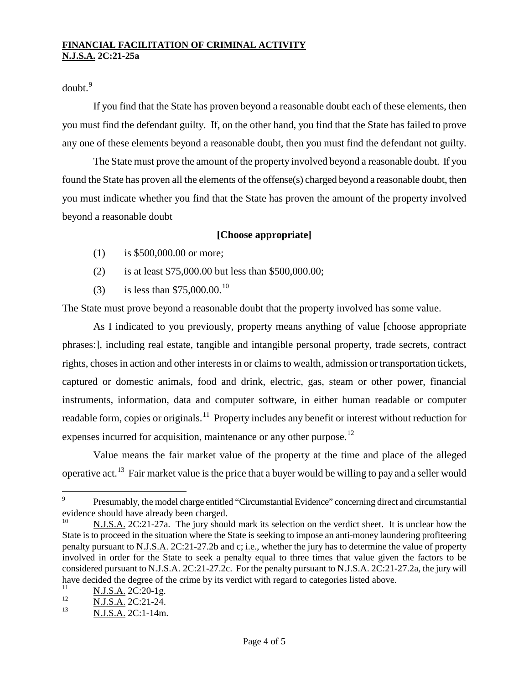$d$ oubt $<sup>9</sup>$  $<sup>9</sup>$  $<sup>9</sup>$ </sup>

If you find that the State has proven beyond a reasonable doubt each of these elements, then you must find the defendant guilty. If, on the other hand, you find that the State has failed to prove any one of these elements beyond a reasonable doubt, then you must find the defendant not guilty.

The State must prove the amount of the property involved beyond a reasonable doubt. If you found the State has proven all the elements of the offense(s) charged beyond a reasonable doubt, then you must indicate whether you find that the State has proven the amount of the property involved beyond a reasonable doubt

### **[Choose appropriate]**

- (1) is \$500,000.00 or more;
- (2) is at least \$75,000.00 but less than \$500,000.00;
- (3) is less than \$75,000.00.[10](#page-3-0)

The State must prove beyond a reasonable doubt that the property involved has some value.

As I indicated to you previously, property means anything of value [choose appropriate phrases:], including real estate, tangible and intangible personal property, trade secrets, contract rights, choses in action and other interests in or claims to wealth, admission or transportation tickets, captured or domestic animals, food and drink, electric, gas, steam or other power, financial instruments, information, data and computer software, in either human readable or computer readable form, copies or originals.<sup>11</sup> Property includes any benefit or interest without reduction for expenses incurred for acquisition, maintenance or any other purpose.<sup>[12](#page-3-2)</sup>

Value means the fair market value of the property at the time and place of the alleged operative act.[13](#page-3-3) Fair market value is the price that a buyer would be willing to pay and a seller would

 $\overline{9}$ <sup>9</sup> Presumably, the model charge entitled "Circumstantial Evidence" concerning direct and circumstantial evidence should have already been charged.

<span id="page-3-0"></span><sup>10</sup> N.J.S.A. 2C:21-27a. The jury should mark its selection on the verdict sheet. It is unclear how the State is to proceed in the situation where the State is seeking to impose an anti-money laundering profiteering penalty pursuant to N.J.S.A. 2C:21-27.2b and c; i.e., whether the jury has to determine the value of property involved in order for the State to seek a penalty equal to three times that value given the factors to be considered pursuant to N.J.S.A. 2C:21-27.2c. For the penalty pursuant to N.J.S.A. 2C:21-27.2a, the jury will have decided the degree of the crime by its verdict with regard to categories listed above.

<span id="page-3-1"></span> $\frac{N.I.S.A.}{N.I.S.A.}$  2C:20-1g.

<span id="page-3-4"></span><span id="page-3-2"></span> $\frac{12}{13}$  N.J.S.A. 2C:21-24.

<span id="page-3-3"></span>N.J.S.A. 2C:1-14m.